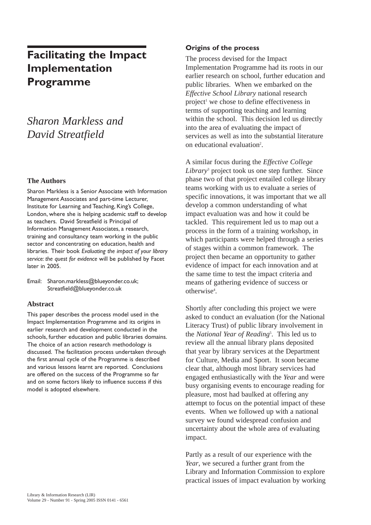# **Facilitating the Impact Implementation Programme**

# *Sharon Markless and David Streatfield*

### **The Authors**

Sharon Markless is a Senior Associate with Information Management Associates and part-time Lecturer, Institute for Learning and Teaching, King's College, London, where she is helping academic staff to develop as teachers. David Streatfield is Principal of Information Management Associates, a research, training and consultancy team working in the public sector and concentrating on education, health and libraries. Their book *Evaluating the impact of your library service: the quest for evidence* will be published by Facet later in 2005.

Email: Sharon.markless@blueyonder.co.uk; Streatfield@blueyonder.co.uk

#### **Abstract**

This paper describes the process model used in the Impact Implementation Programme and its origins in earlier research and development conducted in the schools, further education and public libraries domains. The choice of an action research methodology is discussed. The facilitation process undertaken through the first annual cycle of the Programme is described and various lessons learnt are reported. Conclusions are offered on the success of the Programme so far and on some factors likely to influence success if this model is adopted elsewhere.

### **Origins of the process**

The process devised for the Impact Implementation Programme had its roots in our earlier research on school, further education and public libraries. When we embarked on the *Effective School Library* national research project<sup>1</sup> we chose to define effectiveness in terms of supporting teaching and learning within the school. This decision led us directly into the area of evaluating the impact of services as well as into the substantial literature on educational evaluation<sup>2</sup>.

A similar focus during the *Effective College Library*<sup>3</sup> project took us one step further. Since phase two of that project entailed college library teams working with us to evaluate a series of specific innovations, it was important that we all develop a common understanding of what impact evaluation was and how it could be tackled. This requirement led us to map out a process in the form of a training workshop, in which participants were helped through a series of stages within a common framework. The project then became an opportunity to gather evidence of impact for each innovation and at the same time to test the impact criteria and means of gathering evidence of success or otherwise<sup>4</sup>.

Shortly after concluding this project we were asked to conduct an evaluation (for the National Literacy Trust) of public library involvement in the *National Year of Reading*<sup>5</sup> . This led us to review all the annual library plans deposited that year by library services at the Department for Culture, Media and Sport. It soon became clear that, although most library services had engaged enthusiastically with the *Year* and were busy organising events to encourage reading for pleasure, most had baulked at offering any attempt to focus on the potential impact of these events. When we followed up with a national survey we found widespread confusion and uncertainty about the whole area of evaluating impact.

Partly as a result of our experience with the *Year*, we secured a further grant from the Library and Information Commission to explore practical issues of impact evaluation by working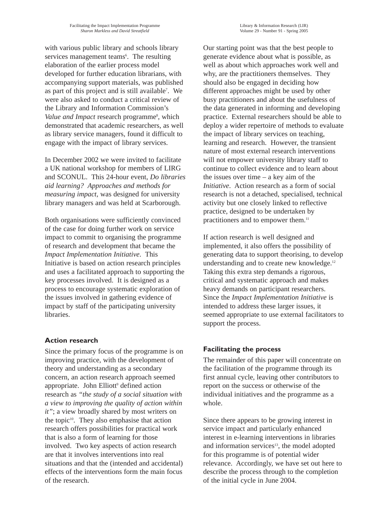with various public library and schools library services management teams<sup>6</sup>. The resulting elaboration of the earlier process model developed for further education librarians, with accompanying support materials, was published as part of this project and is still available7 . We were also asked to conduct a critical review of the Library and Information Commission's Value and Impact research programme<sup>8</sup>, which demonstrated that academic researchers, as well as library service managers, found it difficult to engage with the impact of library services.

In December 2002 we were invited to facilitate a UK national workshop for members of LIRG and SCONUL. This 24-hour event, *Do libraries aid learning? Approaches and methods for measuring impact*, was designed for university library managers and was held at Scarborough.

Both organisations were sufficiently convinced of the case for doing further work on service impact to commit to organising the programme of research and development that became the *Impact Implementation Initiative*. This Initiative is based on action research principles and uses a facilitated approach to supporting the key processes involved. It is designed as a process to encourage systematic exploration of the issues involved in gathering evidence of impact by staff of the participating university libraries.

## **Action research**

Since the primary focus of the programme is on improving practice, with the development of theory and understanding as a secondary concern, an action research approach seemed appropriate. John Elliott<sup>9</sup> defined action research as *"the study of a social situation with a view to improving the quality of action within it"*; a view broadly shared by most writers on the topic $10$ . They also emphasise that action research offers possibilities for practical work that is also a form of learning for those involved. Two key aspects of action research are that it involves interventions into real situations and that the (intended and accidental) effects of the interventions form the main focus of the research.

Our starting point was that the best people to generate evidence about what is possible, as well as about which approaches work well and why, are the practitioners themselves. They should also be engaged in deciding how different approaches might be used by other busy practitioners and about the usefulness of the data generated in informing and developing practice. External researchers should be able to deploy a wider repertoire of methods to evaluate the impact of library services on teaching, learning and research. However, the transient nature of most external research interventions will not empower university library staff to continue to collect evidence and to learn about the issues over time – a key aim of the *Initiative*. Action research as a form of social research is not a detached, specialised, technical activity but one closely linked to reflective practice, designed to be undertaken by practitioners and to empower them.<sup>11</sup>

If action research is well designed and implemented, it also offers the possibility of generating data to support theorising, to develop understanding and to create new knowledge.<sup>12</sup> Taking this extra step demands a rigorous, critical and systematic approach and makes heavy demands on participant researchers. Since the *Impact Implementation Initiative* is intended to address these larger issues, it seemed appropriate to use external facilitators to support the process.

# **Facilitating the process**

The remainder of this paper will concentrate on the facilitation of the programme through its first annual cycle, leaving other contributors to report on the success or otherwise of the individual initiatives and the programme as a whole.

Since there appears to be growing interest in service impact and particularly enhanced interest in e-learning interventions in libraries and information services<sup>13</sup>, the model adopted for this programme is of potential wider relevance. Accordingly, we have set out here to describe the process through to the completion of the initial cycle in June 2004.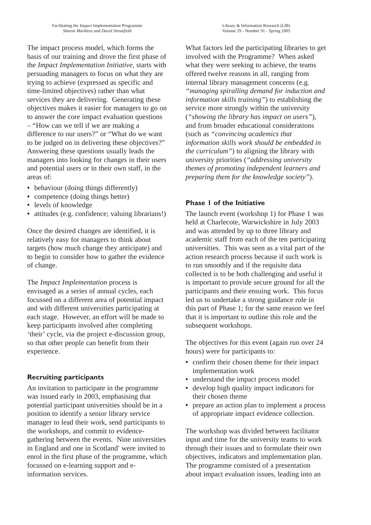The impact process model, which forms the basis of our training and drove the first phase of the *Impact Implementation Initiative*, starts with persuading managers to focus on what they are trying to achieve (expressed as specific and time-limited objectives) rather than what services they are delivering. Generating these objectives makes it easier for managers to go on to answer the core impact evaluation questions – "How can we tell if we are making a difference to our users?" or "What do we want to be judged on in delivering these objectives?" Answering these questions usually leads the managers into looking for changes in their users and potential users or in their own staff, in the areas of:

- behaviour (doing things differently)
- competence (doing things better)
- **•** levels of knowledge
- attitudes (e.g. confidence; valuing librarians!)

Once the desired changes are identified, it is relatively easy for managers to think about targets (how much change they anticipate) and to begin to consider how to gather the evidence of change.

The *Impact Implementation* process is envisaged as a series of annual cycles, each focussed on a different area of potential impact and with different universities participating at each stage. However, an effort will be made to keep participants involved after completing 'their' cycle, via the project e-discussion group, so that other people can benefit from their experience.

## **Recruiting participants**

An invitation to participate in the programme was issued early in 2003, emphasising that potential participant universities should be in a position to identify a senior library service manager to lead their work, send participants to the workshops, and commit to evidencegathering between the events. Nine universities in England and one in Scotland\* were invited to enrol in the first phase of the programme, which focussed on e-learning support and einformation services.

What factors led the participating libraries to get involved with the Programme? When asked what they were seeking to achieve, the teams offered twelve reasons in all, ranging from internal library management concerns (e.g. *"managing spiralling demand for induction and information skills training"*) to establishing the service more strongly within the university (*"showing the library has impact on users"*), and from broader educational considerations (such as *"convincing academics that information skills work should be embedded in the curriculum"*) to aligning the library with university priorities (*"addressing university themes of promoting independent learners and preparing them for the knowledge society"*).

### **Phase 1 of the Initiative**

The launch event (workshop 1) for Phase 1 was held at Charlecote, Warwickshire in July 2003 and was attended by up to three library and academic staff from each of the ten participating universities. This was seen as a vital part of the action research process because if such work is to run smoothly and if the requisite data collected is to be both challenging and useful it is important to provide secure ground for all the participants and their ensuing work. This focus led us to undertake a strong guidance role in this part of Phase 1; for the same reason we feel that it is important to outline this role and the subsequent workshops.

The objectives for this event (again run over 24 hours) were for participants to:

- **•** confirm their chosen theme for their impact implementation work
- **•** understand the impact process model
- **•** develop high quality impact indicators for their chosen theme
- prepare an action plan to implement a process of appropriate impact evidence collection.

The workshop was divided between facilitator input and time for the university teams to work through their issues and to formulate their own objectives, indicators and implementation plan. The programme consisted of a presentation about impact evaluation issues, leading into an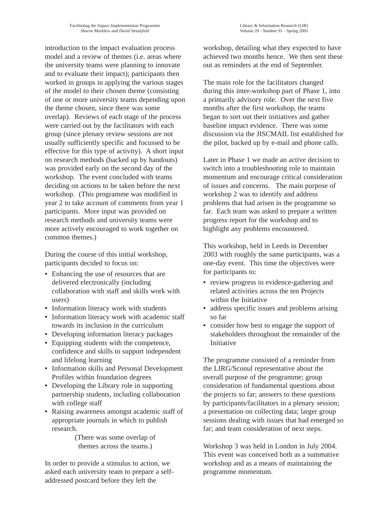introduction to the impact evaluation process model and a review of themes (i.e. areas where the university teams were planning to innovate and to evaluate their impact); participants then worked in groups in applying the various stages of the model to their chosen theme (consisting of one or more university teams depending upon the theme chosen, since there was some overlap). Reviews of each stage of the process were carried out by the facilitators with each group (since plenary review sessions are not usually sufficiently specific and focussed to be effective for this type of activity). A short input on research methods (backed up by handouts) was provided early on the second day of the workshop. The event concluded with teams deciding on actions to be taken before the next workshop. (This programme was modified in year 2 to take account of comments from year 1 participants. More input was provided on research methods and university teams were more actively encouraged to work together on common themes.)

During the course of this initial workshop, participants decided to focus on:

- **•** Enhancing the use of resources that are delivered electronically (including collaboration with staff and skills work with users)
- **•** Information literacy work with students
- **•** Information literacy work with academic staff towards its inclusion in the curriculum
- **•** Developing information literacy packages
- **•** Equipping students with the competence, confidence and skills to support independent and lifelong learning
- **•** Information skills and Personal Development Profiles within foundation degrees
- **•** Developing the Library role in supporting partnership students, including collaboration with college staff
- **•** Raising awareness amongst academic staff of appropriate journals in which to publish research.

(There was some overlap of themes across the teams.)

In order to provide a stimulus to action, we asked each university team to prepare a selfaddressed postcard before they left the

workshop, detailing what they expected to have achieved two months hence. We then sent these out as reminders at the end of September.

The main role for the facilitators changed during this inter-workshop part of Phase 1, into a primarily advisory role. Over the next five months after the first workshop, the teams began to sort out their initiatives and gather baseline impact evidence. There was some discussion via the JISCMAIL list established for the pilot, backed up by e-mail and phone calls.

Later in Phase 1 we made an active decision to switch into a troubleshooting role to maintain momentum and encourage critical consideration of issues and concerns. The main purpose of workshop 2 was to identify and address problems that had arisen in the programme so far. Each team was asked to prepare a written progress report for the workshop and to highlight any problems encountered.

This workshop, held in Leeds in December 2003 with roughly the same participants, was a one-day event. This time the objectives were for participants to:

- **•** review progress in evidence-gathering and related activities across the ten Projects within the Initiative
- **•** address specific issues and problems arising so far
- **•** consider how best to engage the support of stakeholders throughout the remainder of the Initiative

The programme consisted of a reminder from the LIRG/Sconul representative about the overall purpose of the programme; group consideration of fundamental questions about the projects so far; answers to these questions by participants/facilitators in a plenary session; a presentation on collecting data; larger group sessions dealing with issues that had emerged so far; and team consideration of next steps.

Workshop 3 was held in London in July 2004. This event was conceived both as a summative workshop and as a means of maintaining the programme momentum.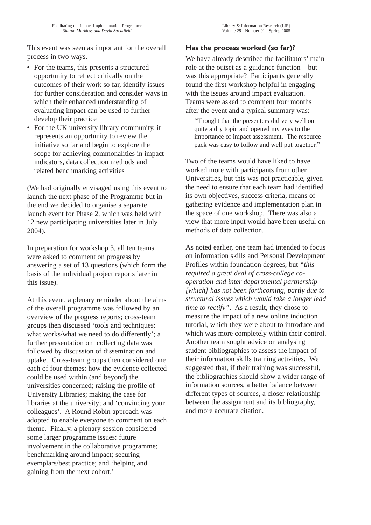This event was seen as important for the overall process in two ways.

- **•** For the teams, this presents a structured opportunity to reflect critically on the outcomes of their work so far, identify issues for further consideration and consider ways in which their enhanced understanding of evaluating impact can be used to further develop their practice
- **•** For the UK university library community, it represents an opportunity to review the initiative so far and begin to explore the scope for achieving commonalities in impact indicators, data collection methods and related benchmarking activities

(We had originally envisaged using this event to launch the next phase of the Programme but in the end we decided to organise a separate launch event for Phase 2, which was held with 12 new participating universities later in July 2004).

In preparation for workshop 3, all ten teams were asked to comment on progress by answering a set of 13 questions (which form the basis of the individual project reports later in this issue).

At this event, a plenary reminder about the aims of the overall programme was followed by an overview of the progress reports; cross-team groups then discussed 'tools and techniques: what works/what we need to do differently'; a further presentation on collecting data was followed by discussion of dissemination and uptake. Cross-team groups then considered one each of four themes: how the evidence collected could be used within (and beyond) the universities concerned; raising the profile of University Libraries; making the case for libraries at the university; and 'convincing your colleagues'. A Round Robin approach was adopted to enable everyone to comment on each theme. Finally, a plenary session considered some larger programme issues: future involvement in the collaborative programme; benchmarking around impact; securing exemplars/best practice; and 'helping and gaining from the next cohort.'

# **Has the process worked (so far)?**

We have already described the facilitators' main role at the outset as a guidance function – but was this appropriate? Participants generally found the first workshop helpful in engaging with the issues around impact evaluation. Teams were asked to comment four months after the event and a typical summary was:

"Thought that the presenters did very well on quite a dry topic and opened my eyes to the importance of impact assessment. The resource pack was easy to follow and well put together."

Two of the teams would have liked to have worked more with participants from other Universities, but this was not practicable, given the need to ensure that each team had identified its own objectives, success criteria, means of gathering evidence and implementation plan in the space of one workshop. There was also a view that more input would have been useful on methods of data collection.

As noted earlier, one team had intended to focus on information skills and Personal Development Profiles within foundation degrees, but *"this required a great deal of cross-college cooperation and inter departmental partnership [which] has not been forthcoming, partly due to structural issues which would take a longer lead time to rectify"*. As a result, they chose to measure the impact of a new online induction tutorial, which they were about to introduce and which was more completely within their control. Another team sought advice on analysing student bibliographies to assess the impact of their information skills training activities. We suggested that, if their training was successful, the bibliographies should show a wider range of information sources, a better balance between different types of sources, a closer relationship between the assignment and its bibliography, and more accurate citation.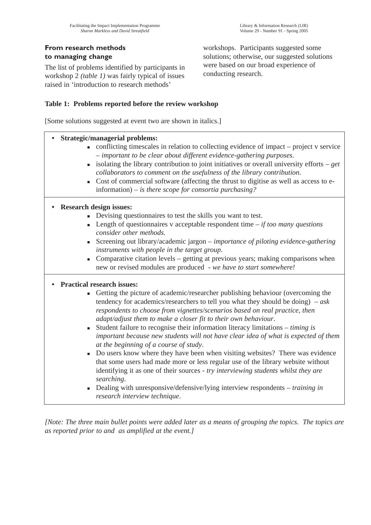The list of problems identified by participants in workshop 2 *(table 1)* was fairly typical of issues raised in 'introduction to research methods'

workshops. Participants suggested some solutions; otherwise, our suggested solutions were based on our broad experience of conducting research.

## **Table 1: Problems reported before the review workshop**

[Some solutions suggested at event two are shown in italics.]

| <b>Strategic/managerial problems:</b><br>$\bullet$ |                                                                                                                                                                                                                                                                                                                                                                                                                                                                                                                                                                                                                                                                                                                                                                                                                                                                                                                                           |
|----------------------------------------------------|-------------------------------------------------------------------------------------------------------------------------------------------------------------------------------------------------------------------------------------------------------------------------------------------------------------------------------------------------------------------------------------------------------------------------------------------------------------------------------------------------------------------------------------------------------------------------------------------------------------------------------------------------------------------------------------------------------------------------------------------------------------------------------------------------------------------------------------------------------------------------------------------------------------------------------------------|
| ×.                                                 | • conflicting timescales in relation to collecting evidence of impact – project v service<br>- important to be clear about different evidence-gathering purposes.<br>isolating the library contribution to joint initiatives or overall university efforts $- get$<br>collaborators to comment on the usefulness of the library contribution.<br>Cost of commercial software (affecting the thrust to digitise as well as access to e-<br>information) – is there scope for consortia purchasing?                                                                                                                                                                                                                                                                                                                                                                                                                                         |
|                                                    |                                                                                                                                                                                                                                                                                                                                                                                                                                                                                                                                                                                                                                                                                                                                                                                                                                                                                                                                           |
| <b>Research design issues:</b>                     |                                                                                                                                                                                                                                                                                                                                                                                                                                                                                                                                                                                                                                                                                                                                                                                                                                                                                                                                           |
|                                                    | Devising questionnaires to test the skills you want to test.                                                                                                                                                                                                                                                                                                                                                                                                                                                                                                                                                                                                                                                                                                                                                                                                                                                                              |
|                                                    | Length of questionnaires v acceptable respondent time $-i f$ too many questions<br>consider other methods.                                                                                                                                                                                                                                                                                                                                                                                                                                                                                                                                                                                                                                                                                                                                                                                                                                |
|                                                    | Screening out library/academic jargon - importance of piloting evidence-gathering<br>instruments with people in the target group.                                                                                                                                                                                                                                                                                                                                                                                                                                                                                                                                                                                                                                                                                                                                                                                                         |
|                                                    | Comparative citation levels – getting at previous years; making comparisons when<br>new or revised modules are produced - we have to start somewhere!                                                                                                                                                                                                                                                                                                                                                                                                                                                                                                                                                                                                                                                                                                                                                                                     |
| <b>Practical research issues:</b>                  |                                                                                                                                                                                                                                                                                                                                                                                                                                                                                                                                                                                                                                                                                                                                                                                                                                                                                                                                           |
| $\blacksquare$<br>٠                                | • Getting the picture of academic/researcher publishing behaviour (overcoming the<br>tendency for academics/researchers to tell you what they should be doing) $-ask$<br>respondents to choose from vignettes/scenarios based on real practice, then<br>adapt/adjust them to make a closer fit to their own behaviour.<br>Student failure to recognise their information literacy limitations $-$ timing is<br>important because new students will not have clear idea of what is expected of them<br>at the beginning of a course of study.<br>Do users know where they have been when visiting websites? There was evidence<br>that some users had made more or less regular use of the library website without<br>identifying it as one of their sources - try interviewing students whilst they are<br>searching.<br>Dealing with unresponsive/defensive/lying interview respondents $-$ training in<br>research interview technique. |

*[Note: The three main bullet points were added later as a means of grouping the topics. The topics are as reported prior to and as amplified at the event.]*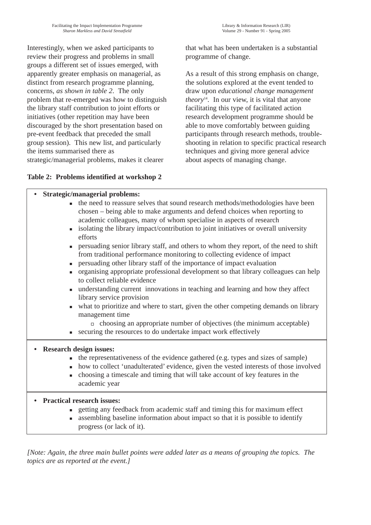Interestingly, when we asked participants to review their progress and problems in small groups a different set of issues emerged, with apparently greater emphasis on managerial, as distinct from research programme planning, concerns, *as shown in table 2*. The only problem that re-emerged was how to distinguish the library staff contribution to joint efforts or initiatives (other repetition may have been discouraged by the short presentation based on pre-event feedback that preceded the small group session). This new list, and particularly the items summarised there as strategic/managerial problems, makes it clearer

that what has been undertaken is a substantial programme of change.

As a result of this strong emphasis on change, the solutions explored at the event tended to draw upon *educational change management theory*14. In our view, it is vital that anyone facilitating this type of facilitated action research development programme should be able to move comfortably between guiding participants through research methods, troubleshooting in relation to specific practical research techniques and giving more general advice about aspects of managing change.

## **Table 2: Problems identified at workshop 2**

## **• Strategic/managerial problems:**

- the need to reassure selves that sound research methods/methodologies have been chosen – being able to make arguments and defend choices when reporting to academic colleagues, many of whom specialise in aspects of research
- isolating the library impact/contribution to joint initiatives or overall university efforts
- n persuading senior library staff, and others to whom they report, of the need to shift from traditional performance monitoring to collecting evidence of impact
- <sup>n</sup> persuading other library staff of the importance of impact evaluation
- <sup>n</sup> organising appropriate professional development so that library colleagues can help to collect reliable evidence
- n understanding current innovations in teaching and learning and how they affect library service provision
- what to prioritize and where to start, given the other competing demands on library management time
	- $\Box$  choosing an appropriate number of objectives (the minimum acceptable)
- <sup>n</sup> securing the resources to do undertake impact work effectively

#### **• Research design issues:**

- $\blacksquare$  the representativeness of the evidence gathered (e.g. types and sizes of sample)
- how to collect 'unadulterated' evidence, given the vested interests of those involved
- <sup>n</sup> choosing a timescale and timing that will take account of key features in the academic year

## **• Practical research issues:**

- <sup>n</sup> getting any feedback from academic staff and timing this for maximum effect
- assembling baseline information about impact so that it is possible to identify progress (or lack of it).

*[Note: Again, the three main bullet points were added later as a means of grouping the topics. The topics are as reported at the event.]*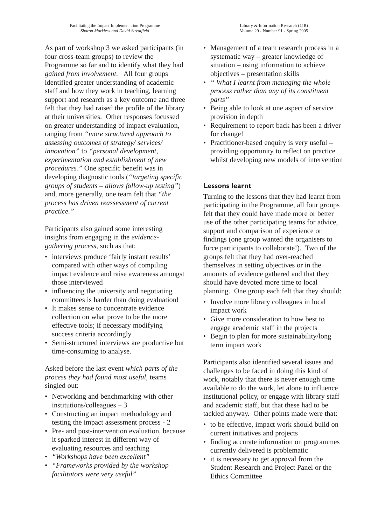As part of workshop 3 we asked participants (in four cross-team groups) to review the Programme so far and to identify what they had *gained from involvement*. All four groups identified greater understanding of academic staff and how they work in teaching, learning support and research as a key outcome and three felt that they had raised the profile of the library at their universities. Other responses focussed on greater understanding of impact evaluation, ranging from *"more structured approach to assessing outcomes of strategy/ services/ innovation"* to *"personal development, experimentation and establishment of new procedures."* One specific benefit was in developing diagnostic tools (*"targeting specific groups of students – allows follow-up testing"*) and, more generally, one team felt that *"the process has driven reassessment of current practice."*

Participants also gained some interesting insights from engaging in the *evidencegathering process*, such as that:

- interviews produce 'fairly instant results' compared with other ways of compiling impact evidence and raise awareness amongst those interviewed
- influencing the university and negotiating committees is harder than doing evaluation!
- It makes sense to concentrate evidence collection on what prove to be the more effective tools; if necessary modifying success criteria accordingly
- Semi-structured interviews are productive but time-consuming to analyse.

Asked before the last event *which parts of the process they had found most useful*, teams singled out:

- Networking and benchmarking with other institutions/colleagues – 3
- Constructing an impact methodology and testing the impact assessment process - 2
- Pre- and post-intervention evaluation, because it sparked interest in different way of evaluating resources and teaching
- *"Workshops have been excellent"*
- *"Frameworks provided by the workshop facilitators were very useful"*
- Management of a team research process in a systematic way – greater knowledge of situation – using information to achieve objectives – presentation skills
- *" What I learnt from managing the whole process rather than any of its constituent parts"*
- Being able to look at one aspect of service provision in depth
- Requirement to report back has been a driver for change!
- Practitioner-based enquiry is very useful providing opportunity to reflect on practice whilst developing new models of intervention

## **Lessons learnt**

Turning to the lessons that they had learnt from participating in the Programme, all four groups felt that they could have made more or better use of the other participating teams for advice, support and comparison of experience or findings (one group wanted the organisers to force participants to collaborate!). Two of the groups felt that they had over-reached themselves in setting objectives or in the amounts of evidence gathered and that they should have devoted more time to local planning. One group each felt that they should:

- Involve more library colleagues in local impact work
- Give more consideration to how best to engage academic staff in the projects
- Begin to plan for more sustainability/long term impact work

Participants also identified several issues and challenges to be faced in doing this kind of work, notably that there is never enough time available to do the work, let alone to influence institutional policy, or engage with library staff and academic staff, but that these had to be tackled anyway. Other points made were that:

- to be effective, impact work should build on current initiatives and projects
- finding accurate information on programmes currently delivered is problematic
- it is necessary to get approval from the Student Research and Project Panel or the Ethics Committee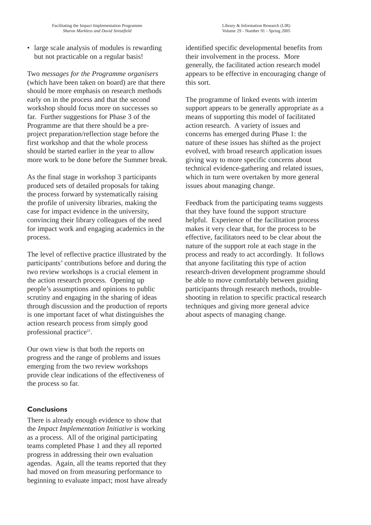• large scale analysis of modules is rewarding but not practicable on a regular basis!

Two *messages for the Programme organisers* (which have been taken on board) are that there should be more emphasis on research methods early on in the process and that the second workshop should focus more on successes so far. Further suggestions for Phase 3 of the Programme are that there should be a preproject preparation/reflection stage before the first workshop and that the whole process should be started earlier in the year to allow more work to be done before the Summer break.

As the final stage in workshop 3 participants produced sets of detailed proposals for taking the process forward by systematically raising the profile of university libraries, making the case for impact evidence in the university, convincing their library colleagues of the need for impact work and engaging academics in the process.

The level of reflective practice illustrated by the participants' contributions before and during the two review workshops is a crucial element in the action research process. Opening up people's assumptions and opinions to public scrutiny and engaging in the sharing of ideas through discussion and the production of reports is one important facet of what distinguishes the action research process from simply good professional practice<sup>15</sup>.

Our own view is that both the reports on progress and the range of problems and issues emerging from the two review workshops provide clear indications of the effectiveness of the process so far.

# **Conclusions**

There is already enough evidence to show that the *Impact Implementation Initiative* is working as a process. All of the original participating teams completed Phase 1 and they all reported progress in addressing their own evaluation agendas. Again, all the teams reported that they had moved on from measuring performance to beginning to evaluate impact; most have already identified specific developmental benefits from their involvement in the process. More generally, the facilitated action research model appears to be effective in encouraging change of this sort.

The programme of linked events with interim support appears to be generally appropriate as a means of supporting this model of facilitated action research. A variety of issues and concerns has emerged during Phase 1: the nature of these issues has shifted as the project evolved, with broad research application issues giving way to more specific concerns about technical evidence-gathering and related issues, which in turn were overtaken by more general issues about managing change.

Feedback from the participating teams suggests that they have found the support structure helpful. Experience of the facilitation process makes it very clear that, for the process to be effective, facilitators need to be clear about the nature of the support role at each stage in the process and ready to act accordingly. It follows that anyone facilitating this type of action research-driven development programme should be able to move comfortably between guiding participants through research methods, troubleshooting in relation to specific practical research techniques and giving more general advice about aspects of managing change.